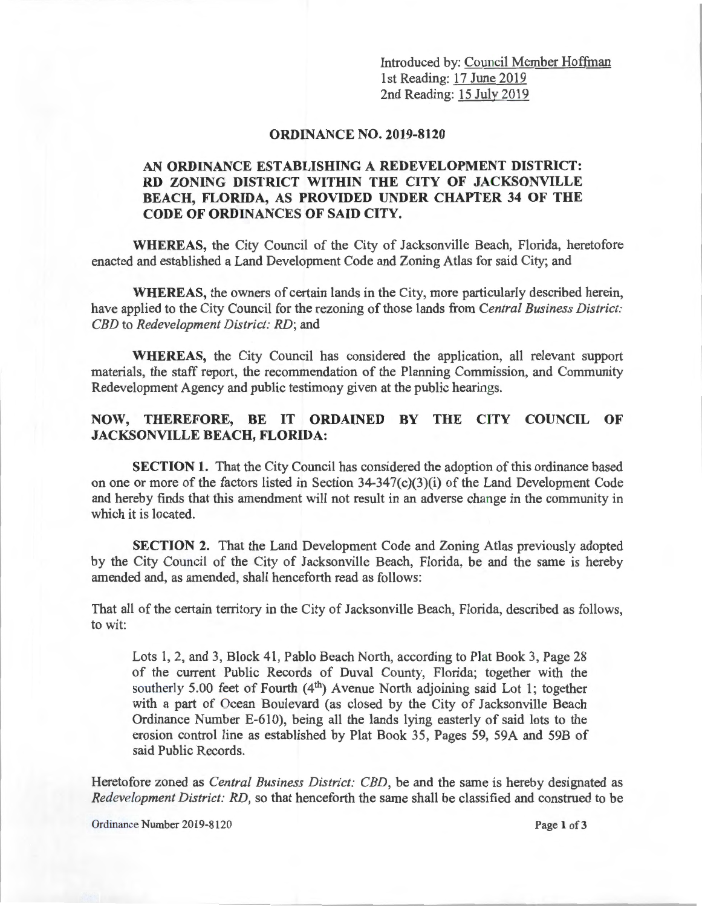Introduced by: Council Member Hoffman 1st Reading: 17 June 2019 2nd Reading: 15 July 2019

## **ORDINANCE NO. 2019-8120**

## **AN ORDINANCE ESTABLISHING A REDEVELOPMENT DISTRICT: RD ZONING DISTRICT WITHIN THE CITY OF JACKSONVILLE BEACH, FLORIDA, AS PROVIDED UNDER CHAPTER 34 OF THE CODE OF ORDINANCES OF SAID CITY.**

**WHEREAS,** the City Council of the City of Jacksonville Beach, Florida, heretofore enacted and established a Land Development Code and Zoning Atlas for said City; and

**WHEREAS,** the owners of certain lands in the City, more particularly described herein, have applied to the City Council for the rezoning of those lands from *Central Business District: CBD* to *Redevelopment District: RD;* and

**WHEREAS,** the City Council has considered the application, all relevant support materials, the staff report, the recommendation of the Planning Commission, and Community Redevelopment Agency and public testimony given at the public hearings.

## **NOW, THEREFORE, BE IT ORDAINED BY THE CITY COUNCIL OF JACKSONVILLE BEACH, FLORIDA:**

**SECTION 1.** That the City Council has considered the adoption of this ordinance based on one or more of the factors listed in Section 34-347(c)(3)(i) of the Land Development Code and hereby finds that this amendment will not result in an adverse change in the community in which it is located.

**SECTION 2.** That the Land Development Code and Zoning Atlas previously adopted by the City Council of the City of Jacksonville Beach, Florida, be and the same is hereby amended and, as amended, shall henceforth read as follows:

That all of the certain territory in the City of Jacksonville Beach, Florida, described as follows, to wit:

Lots 1, 2, and 3, Block 41, Pablo Beach North, according to Plat Book 3, Page 28 of the current Public Records of Duval County, Florida; together with the southerly 5.00 feet of Fourth  $(4<sup>th</sup>)$  Avenue North adjoining said Lot 1; together with a part of Ocean Boulevard (as closed by the City of Jacksonville Beach Ordinance Number E-610), being all the lands lying easterly of said lots to the erosion control line as established by Plat Book 35, Pages 59, 59A and 598 of said Public Records.

Heretofore zoned as *Central Business District: CBD,* be and the same is hereby designated as *Redevelopment District: RD,* so that henceforth the same shall be classified and construed to be

Ordinance Number 2019-8120 Page **1** of3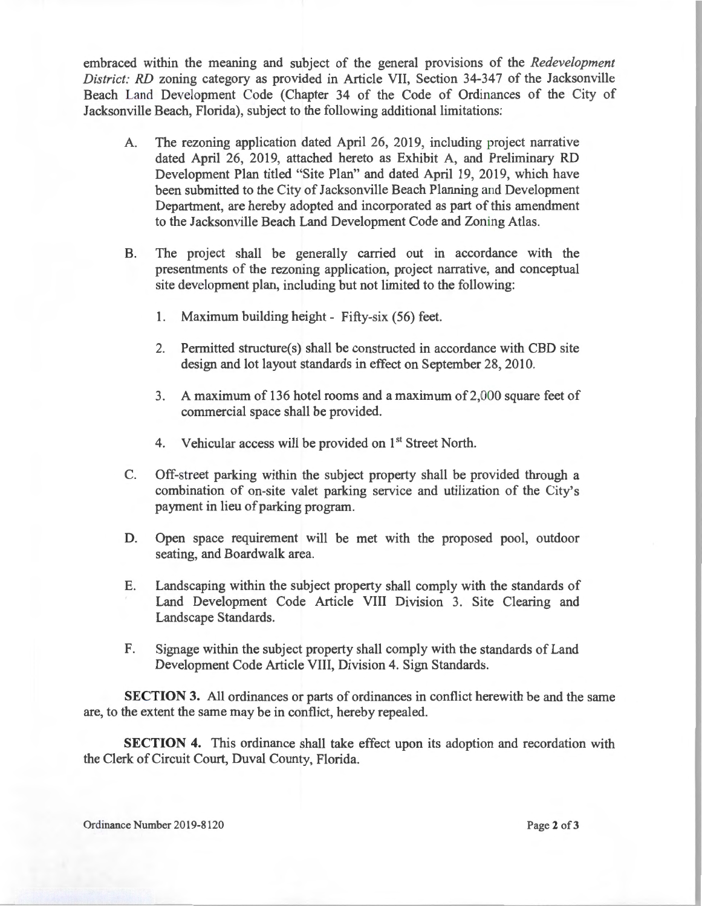embraced within the meaning and subject of the general provisions of the *Redevelopment District: RD* zoning category as provided in Article VII, Section 34-347 of the Jacksonville Beach Land Development Code (Chapter 34 of the Code of Ordinances of the City of Jacksonville Beach, Florida), subject to the following additional limitations:

- A. The rezoning application dated April 26, 2019, including project narrative dated April 26, 2019, attached hereto as Exhibit A, and Preliminary RD Development Plan titled "Site Plan" and dated April 19, 2019, which have been submitted to the City of Jacksonville Beach Planning and Development Department, are hereby adopted and incorporated as part of this amendment to the Jacksonville Beach Land Development Code and Zoning Atlas.
- B. The project shall be generally carried out in accordance with the presentments of the rezoning application, project narrative, and conceptual site development plan, including but not limited to the following:
	- 1. Maximum building height Fifty-six (56) feet.
	- 2. Permitted structure(s) shall be constructed in accordance with CBD site design and lot layout standards in effect on September 28, 2010.
	- 3. A maximum of 136 hotel rooms and a maximum of2,000 square feet of commercial space shall be provided.
	- 4. Vehicular access will be provided on 1<sup>st</sup> Street North.
- C. Off-street parking within the subject property shall be provided through a combination of on-site valet parking service and utilization of the City's payment in lieu of parking program.
- D. Open space requirement will be met with the proposed pool, outdoor seating, and Boardwalk area.
- E. Landscaping within the subject property shall comply with the standards of Land Development Code Article VIII Division 3. Site Clearing and Landscape Standards.
- F. Signage within the subject property shall comply with the standards of Land Development Code Article VIII, Division 4. Sign Standards.

**SECTION 3.** All ordinances or parts of ordinances in conflict herewith be and the same are, to the extent the same may be in conflict, hereby repealed.

**SECTION 4.** This ordinance shall take effect upon its adoption and recordation with the Clerk of Circuit Court, Duval County, Florida.